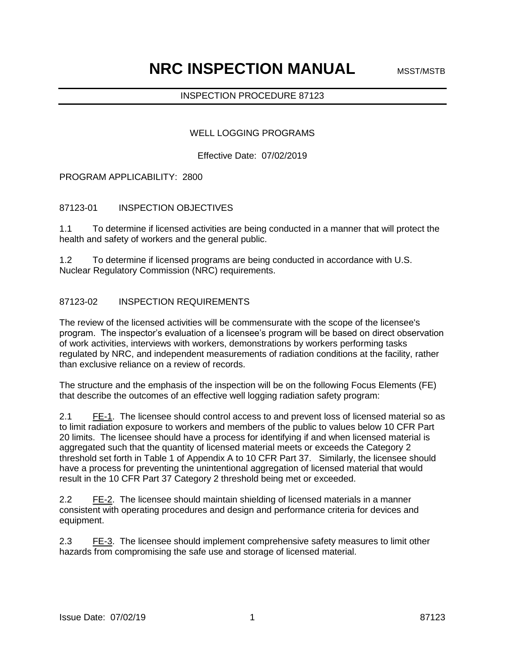# INSPECTION PROCEDURE 87123

### WELL LOGGING PROGRAMS

Effective Date: 07/02/2019

### PROGRAM APPLICABILITY: 2800

# 87123-01 INSPECTION OBJECTIVES

1.1 To determine if licensed activities are being conducted in a manner that will protect the health and safety of workers and the general public.

1.2 To determine if licensed programs are being conducted in accordance with U.S. Nuclear Regulatory Commission (NRC) requirements.

### 87123-02 INSPECTION REQUIREMENTS

The review of the licensed activities will be commensurate with the scope of the licensee's program. The inspector's evaluation of a licensee's program will be based on direct observation of work activities, interviews with workers, demonstrations by workers performing tasks regulated by NRC, and independent measurements of radiation conditions at the facility, rather than exclusive reliance on a review of records.

The structure and the emphasis of the inspection will be on the following Focus Elements (FE) that describe the outcomes of an effective well logging radiation safety program:

2.1 FE-1. The licensee should control access to and prevent loss of licensed material so as to limit radiation exposure to workers and members of the public to values below 10 CFR Part 20 limits. The licensee should have a process for identifying if and when licensed material is aggregated such that the quantity of licensed material meets or exceeds the Category 2 threshold set forth in Table 1 of Appendix A to 10 CFR Part 37. Similarly, the licensee should have a process for preventing the unintentional aggregation of licensed material that would result in the 10 CFR Part 37 Category 2 threshold being met or exceeded.

2.2 FE-2. The licensee should maintain shielding of licensed materials in a manner consistent with operating procedures and design and performance criteria for devices and equipment.

2.3 FE-3. The licensee should implement comprehensive safety measures to limit other hazards from compromising the safe use and storage of licensed material.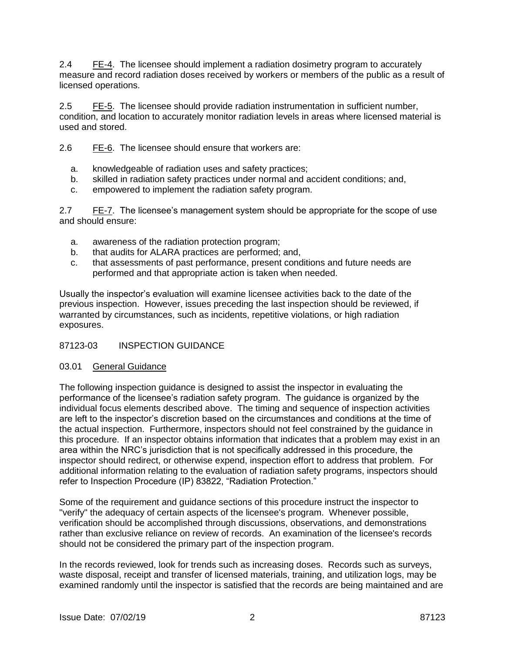2.4 FE-4. The licensee should implement a radiation dosimetry program to accurately measure and record radiation doses received by workers or members of the public as a result of licensed operations.

2.5 FE-5. The licensee should provide radiation instrumentation in sufficient number, condition, and location to accurately monitor radiation levels in areas where licensed material is used and stored.

2.6 FE-6. The licensee should ensure that workers are:

- a. knowledgeable of radiation uses and safety practices;
- b. skilled in radiation safety practices under normal and accident conditions; and,
- c. empowered to implement the radiation safety program.

2.7 FE-7. The licensee's management system should be appropriate for the scope of use and should ensure:

- a. awareness of the radiation protection program;
- b. that audits for ALARA practices are performed; and,
- c. that assessments of past performance, present conditions and future needs are performed and that appropriate action is taken when needed.

Usually the inspector's evaluation will examine licensee activities back to the date of the previous inspection. However, issues preceding the last inspection should be reviewed, if warranted by circumstances, such as incidents, repetitive violations, or high radiation exposures.

# 87123-03 INSPECTION GUIDANCE

## 03.01 General Guidance

The following inspection guidance is designed to assist the inspector in evaluating the performance of the licensee's radiation safety program. The guidance is organized by the individual focus elements described above. The timing and sequence of inspection activities are left to the inspector's discretion based on the circumstances and conditions at the time of the actual inspection. Furthermore, inspectors should not feel constrained by the guidance in this procedure. If an inspector obtains information that indicates that a problem may exist in an area within the NRC's jurisdiction that is not specifically addressed in this procedure, the inspector should redirect, or otherwise expend, inspection effort to address that problem. For additional information relating to the evaluation of radiation safety programs, inspectors should refer to Inspection Procedure (IP) 83822, "Radiation Protection."

Some of the requirement and guidance sections of this procedure instruct the inspector to "verify" the adequacy of certain aspects of the licensee's program. Whenever possible, verification should be accomplished through discussions, observations, and demonstrations rather than exclusive reliance on review of records. An examination of the licensee's records should not be considered the primary part of the inspection program.

In the records reviewed, look for trends such as increasing doses. Records such as surveys, waste disposal, receipt and transfer of licensed materials, training, and utilization logs, may be examined randomly until the inspector is satisfied that the records are being maintained and are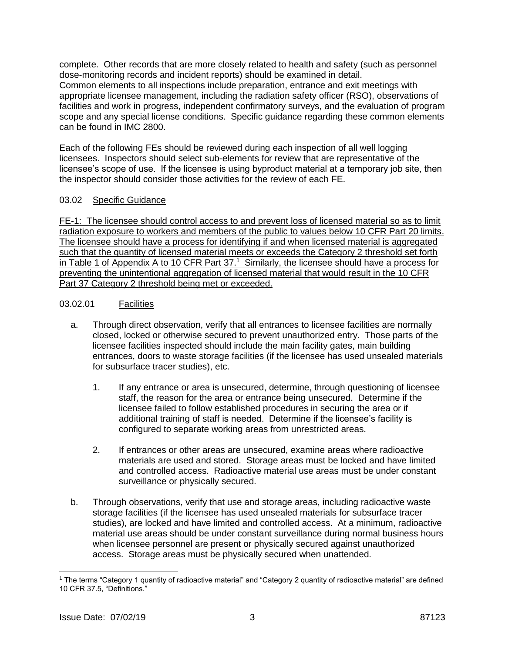complete. Other records that are more closely related to health and safety (such as personnel dose-monitoring records and incident reports) should be examined in detail. Common elements to all inspections include preparation, entrance and exit meetings with appropriate licensee management, including the radiation safety officer (RSO), observations of facilities and work in progress, independent confirmatory surveys, and the evaluation of program scope and any special license conditions. Specific guidance regarding these common elements can be found in IMC 2800.

Each of the following FEs should be reviewed during each inspection of all well logging licensees. Inspectors should select sub-elements for review that are representative of the licensee's scope of use. If the licensee is using byproduct material at a temporary job site, then the inspector should consider those activities for the review of each FE.

## 03.02 Specific Guidance

FE-1: The licensee should control access to and prevent loss of licensed material so as to limit radiation exposure to workers and members of the public to values below 10 CFR Part 20 limits. The licensee should have a process for identifying if and when licensed material is aggregated such that the quantity of licensed material meets or exceeds the Category 2 threshold set forth in Table 1 of Appendix A to 10 CFR Part 37.<sup>1</sup> Similarly, the licensee should have a process for preventing the unintentional aggregation of licensed material that would result in the 10 CFR Part 37 Category 2 threshold being met or exceeded.

### 03.02.01 Facilities

- a. Through direct observation, verify that all entrances to licensee facilities are normally closed, locked or otherwise secured to prevent unauthorized entry. Those parts of the licensee facilities inspected should include the main facility gates, main building entrances, doors to waste storage facilities (if the licensee has used unsealed materials for subsurface tracer studies), etc.
	- 1. If any entrance or area is unsecured, determine, through questioning of licensee staff, the reason for the area or entrance being unsecured. Determine if the licensee failed to follow established procedures in securing the area or if additional training of staff is needed. Determine if the licensee's facility is configured to separate working areas from unrestricted areas.
	- 2. If entrances or other areas are unsecured, examine areas where radioactive materials are used and stored. Storage areas must be locked and have limited and controlled access. Radioactive material use areas must be under constant surveillance or physically secured.
- b. Through observations, verify that use and storage areas, including radioactive waste storage facilities (if the licensee has used unsealed materials for subsurface tracer studies), are locked and have limited and controlled access. At a minimum, radioactive material use areas should be under constant surveillance during normal business hours when licensee personnel are present or physically secured against unauthorized access. Storage areas must be physically secured when unattended.

 $\overline{a}$ 

<sup>&</sup>lt;sup>1</sup> The terms "Category 1 quantity of radioactive material" and "Category 2 quantity of radioactive material" are defined 10 CFR 37.5, "Definitions."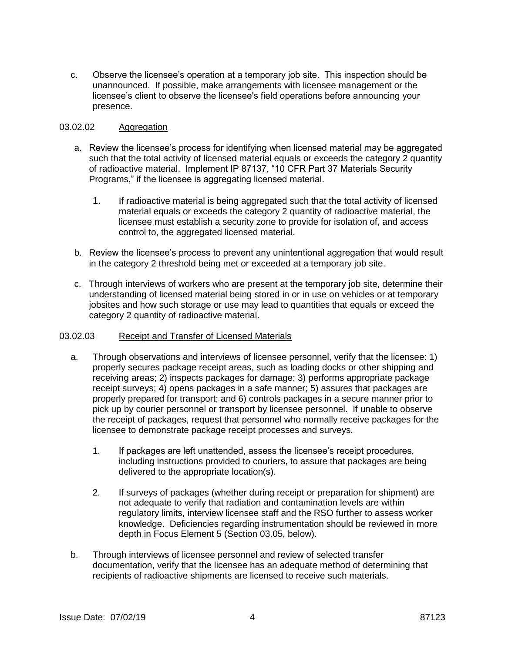c. Observe the licensee's operation at a temporary job site. This inspection should be unannounced. If possible, make arrangements with licensee management or the licensee's client to observe the licensee's field operations before announcing your presence.

# 03.02.02 Aggregation

- a. Review the licensee's process for identifying when licensed material may be aggregated such that the total activity of licensed material equals or exceeds the category 2 quantity of radioactive material. Implement IP 87137, "10 CFR Part 37 Materials Security Programs," if the licensee is aggregating licensed material.
	- 1. If radioactive material is being aggregated such that the total activity of licensed material equals or exceeds the category 2 quantity of radioactive material, the licensee must establish a security zone to provide for isolation of, and access control to, the aggregated licensed material.
- b. Review the licensee's process to prevent any unintentional aggregation that would result in the category 2 threshold being met or exceeded at a temporary job site.
- c. Through interviews of workers who are present at the temporary job site, determine their understanding of licensed material being stored in or in use on vehicles or at temporary jobsites and how such storage or use may lead to quantities that equals or exceed the category 2 quantity of radioactive material.

## 03.02.03 Receipt and Transfer of Licensed Materials

- a. Through observations and interviews of licensee personnel, verify that the licensee: 1) properly secures package receipt areas, such as loading docks or other shipping and receiving areas; 2) inspects packages for damage; 3) performs appropriate package receipt surveys; 4) opens packages in a safe manner; 5) assures that packages are properly prepared for transport; and 6) controls packages in a secure manner prior to pick up by courier personnel or transport by licensee personnel. If unable to observe the receipt of packages, request that personnel who normally receive packages for the licensee to demonstrate package receipt processes and surveys.
	- 1. If packages are left unattended, assess the licensee's receipt procedures, including instructions provided to couriers, to assure that packages are being delivered to the appropriate location(s).
	- 2. If surveys of packages (whether during receipt or preparation for shipment) are not adequate to verify that radiation and contamination levels are within regulatory limits, interview licensee staff and the RSO further to assess worker knowledge. Deficiencies regarding instrumentation should be reviewed in more depth in Focus Element 5 (Section 03.05, below).
- b. Through interviews of licensee personnel and review of selected transfer documentation, verify that the licensee has an adequate method of determining that recipients of radioactive shipments are licensed to receive such materials.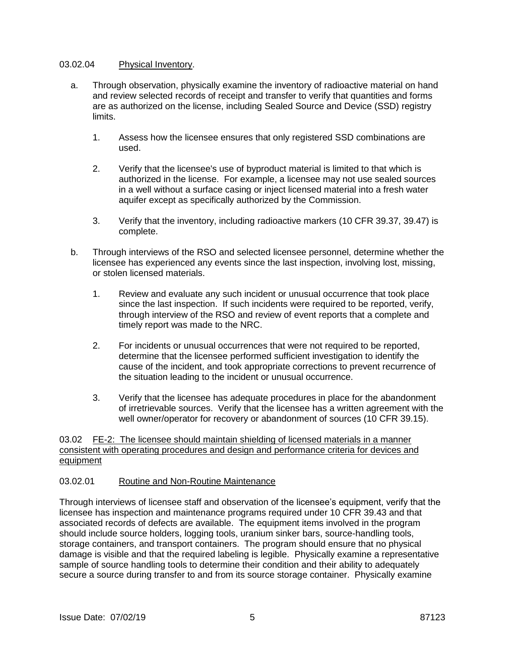#### 03.02.04 Physical Inventory.

- a. Through observation, physically examine the inventory of radioactive material on hand and review selected records of receipt and transfer to verify that quantities and forms are as authorized on the license, including Sealed Source and Device (SSD) registry limits.
	- 1. Assess how the licensee ensures that only registered SSD combinations are used.
	- 2. Verify that the licensee's use of byproduct material is limited to that which is authorized in the license. For example, a licensee may not use sealed sources in a well without a surface casing or inject licensed material into a fresh water aquifer except as specifically authorized by the Commission.
	- 3. Verify that the inventory, including radioactive markers (10 CFR 39.37, 39.47) is complete.
- b. Through interviews of the RSO and selected licensee personnel, determine whether the licensee has experienced any events since the last inspection, involving lost, missing, or stolen licensed materials.
	- 1. Review and evaluate any such incident or unusual occurrence that took place since the last inspection. If such incidents were required to be reported, verify, through interview of the RSO and review of event reports that a complete and timely report was made to the NRC.
	- 2. For incidents or unusual occurrences that were not required to be reported, determine that the licensee performed sufficient investigation to identify the cause of the incident, and took appropriate corrections to prevent recurrence of the situation leading to the incident or unusual occurrence.
	- 3. Verify that the licensee has adequate procedures in place for the abandonment of irretrievable sources. Verify that the licensee has a written agreement with the well owner/operator for recovery or abandonment of sources (10 CFR 39.15).

03.02 FE-2: The licensee should maintain shielding of licensed materials in a manner consistent with operating procedures and design and performance criteria for devices and equipment

#### 03.02.01 Routine and Non-Routine Maintenance

Through interviews of licensee staff and observation of the licensee's equipment, verify that the licensee has inspection and maintenance programs required under 10 CFR 39.43 and that associated records of defects are available. The equipment items involved in the program should include source holders, logging tools, uranium sinker bars, source-handling tools, storage containers, and transport containers. The program should ensure that no physical damage is visible and that the required labeling is legible. Physically examine a representative sample of source handling tools to determine their condition and their ability to adequately secure a source during transfer to and from its source storage container. Physically examine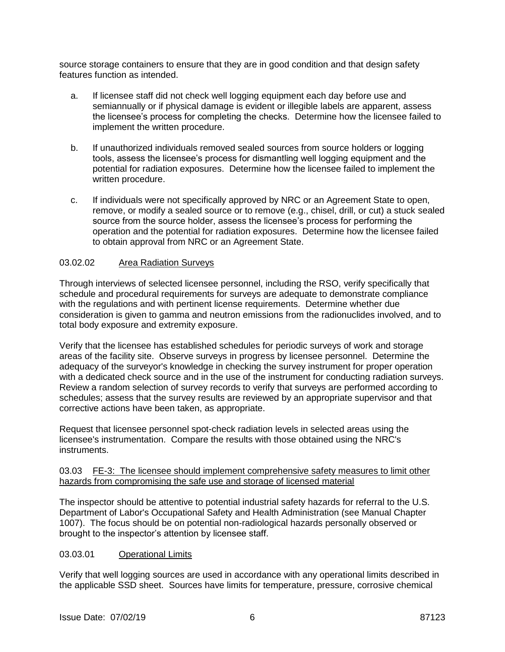source storage containers to ensure that they are in good condition and that design safety features function as intended.

- a. If licensee staff did not check well logging equipment each day before use and semiannually or if physical damage is evident or illegible labels are apparent, assess the licensee's process for completing the checks. Determine how the licensee failed to implement the written procedure.
- b. If unauthorized individuals removed sealed sources from source holders or logging tools, assess the licensee's process for dismantling well logging equipment and the potential for radiation exposures. Determine how the licensee failed to implement the written procedure.
- c. If individuals were not specifically approved by NRC or an Agreement State to open, remove, or modify a sealed source or to remove (e.g., chisel, drill, or cut) a stuck sealed source from the source holder, assess the licensee's process for performing the operation and the potential for radiation exposures. Determine how the licensee failed to obtain approval from NRC or an Agreement State.

### 03.02.02 Area Radiation Surveys

Through interviews of selected licensee personnel, including the RSO, verify specifically that schedule and procedural requirements for surveys are adequate to demonstrate compliance with the regulations and with pertinent license requirements. Determine whether due consideration is given to gamma and neutron emissions from the radionuclides involved, and to total body exposure and extremity exposure.

Verify that the licensee has established schedules for periodic surveys of work and storage areas of the facility site. Observe surveys in progress by licensee personnel. Determine the adequacy of the surveyor's knowledge in checking the survey instrument for proper operation with a dedicated check source and in the use of the instrument for conducting radiation surveys. Review a random selection of survey records to verify that surveys are performed according to schedules; assess that the survey results are reviewed by an appropriate supervisor and that corrective actions have been taken, as appropriate.

Request that licensee personnel spot-check radiation levels in selected areas using the licensee's instrumentation. Compare the results with those obtained using the NRC's instruments.

### 03.03 FE-3: The licensee should implement comprehensive safety measures to limit other hazards from compromising the safe use and storage of licensed material

The inspector should be attentive to potential industrial safety hazards for referral to the U.S. Department of Labor's Occupational Safety and Health Administration (see Manual Chapter 1007). The focus should be on potential non-radiological hazards personally observed or brought to the inspector's attention by licensee staff.

## 03.03.01 Operational Limits

Verify that well logging sources are used in accordance with any operational limits described in the applicable SSD sheet. Sources have limits for temperature, pressure, corrosive chemical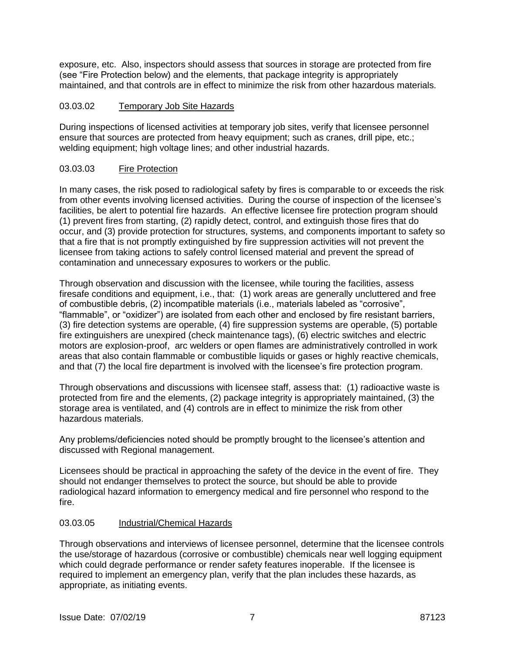exposure, etc. Also, inspectors should assess that sources in storage are protected from fire (see "Fire Protection below) and the elements, that package integrity is appropriately maintained, and that controls are in effect to minimize the risk from other hazardous materials.

# 03.03.02 Temporary Job Site Hazards

During inspections of licensed activities at temporary job sites, verify that licensee personnel ensure that sources are protected from heavy equipment; such as cranes, drill pipe, etc.; welding equipment; high voltage lines; and other industrial hazards.

# 03.03.03 Fire Protection

In many cases, the risk posed to radiological safety by fires is comparable to or exceeds the risk from other events involving licensed activities. During the course of inspection of the licensee's facilities, be alert to potential fire hazards. An effective licensee fire protection program should (1) prevent fires from starting, (2) rapidly detect, control, and extinguish those fires that do occur, and (3) provide protection for structures, systems, and components important to safety so that a fire that is not promptly extinguished by fire suppression activities will not prevent the licensee from taking actions to safely control licensed material and prevent the spread of contamination and unnecessary exposures to workers or the public.

Through observation and discussion with the licensee, while touring the facilities, assess firesafe conditions and equipment, i.e., that: (1) work areas are generally uncluttered and free of combustible debris, (2) incompatible materials (i.e., materials labeled as "corrosive", "flammable", or "oxidizer") are isolated from each other and enclosed by fire resistant barriers, (3) fire detection systems are operable, (4) fire suppression systems are operable, (5) portable fire extinguishers are unexpired (check maintenance tags), (6) electric switches and electric motors are explosion-proof, arc welders or open flames are administratively controlled in work areas that also contain flammable or combustible liquids or gases or highly reactive chemicals, and that (7) the local fire department is involved with the licensee's fire protection program.

Through observations and discussions with licensee staff, assess that: (1) radioactive waste is protected from fire and the elements, (2) package integrity is appropriately maintained, (3) the storage area is ventilated, and (4) controls are in effect to minimize the risk from other hazardous materials.

Any problems/deficiencies noted should be promptly brought to the licensee's attention and discussed with Regional management.

Licensees should be practical in approaching the safety of the device in the event of fire. They should not endanger themselves to protect the source, but should be able to provide radiological hazard information to emergency medical and fire personnel who respond to the fire.

## 03.03.05 Industrial/Chemical Hazards

Through observations and interviews of licensee personnel, determine that the licensee controls the use/storage of hazardous (corrosive or combustible) chemicals near well logging equipment which could degrade performance or render safety features inoperable. If the licensee is required to implement an emergency plan, verify that the plan includes these hazards, as appropriate, as initiating events.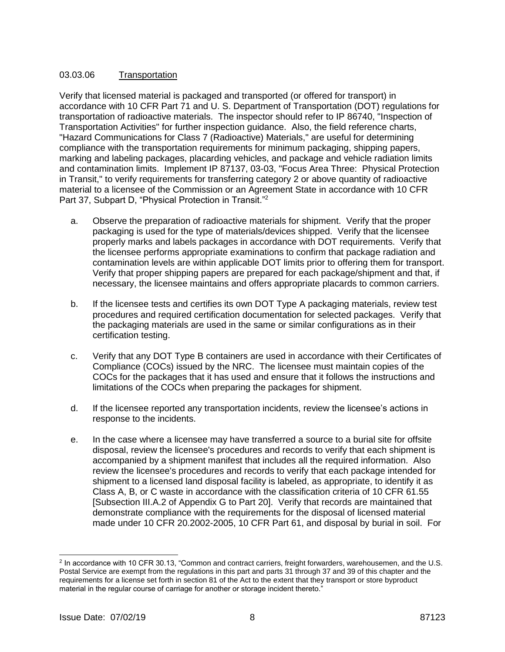# 03.03.06 Transportation

Verify that licensed material is packaged and transported (or offered for transport) in accordance with 10 CFR Part 71 and U. S. Department of Transportation (DOT) regulations for transportation of radioactive materials. The inspector should refer to IP 86740, "Inspection of Transportation Activities" for further inspection guidance. Also, the field reference charts, "Hazard Communications for Class 7 (Radioactive) Materials," are useful for determining compliance with the transportation requirements for minimum packaging, shipping papers, marking and labeling packages, placarding vehicles, and package and vehicle radiation limits and contamination limits. Implement IP 87137, 03-03, "Focus Area Three: Physical Protection in Transit," to verify requirements for transferring category 2 or above quantity of radioactive material to a licensee of the Commission or an Agreement State in accordance with 10 CFR Part 37, Subpart D, "Physical Protection in Transit."<sup>2</sup>

- a. Observe the preparation of radioactive materials for shipment. Verify that the proper packaging is used for the type of materials/devices shipped. Verify that the licensee properly marks and labels packages in accordance with DOT requirements. Verify that the licensee performs appropriate examinations to confirm that package radiation and contamination levels are within applicable DOT limits prior to offering them for transport. Verify that proper shipping papers are prepared for each package/shipment and that, if necessary, the licensee maintains and offers appropriate placards to common carriers.
- b. If the licensee tests and certifies its own DOT Type A packaging materials, review test procedures and required certification documentation for selected packages. Verify that the packaging materials are used in the same or similar configurations as in their certification testing.
- c. Verify that any DOT Type B containers are used in accordance with their Certificates of Compliance (COCs) issued by the NRC. The licensee must maintain copies of the COCs for the packages that it has used and ensure that it follows the instructions and limitations of the COCs when preparing the packages for shipment.
- d. If the licensee reported any transportation incidents, review the licensee's actions in response to the incidents.
- e. In the case where a licensee may have transferred a source to a burial site for offsite disposal, review the licensee's procedures and records to verify that each shipment is accompanied by a shipment manifest that includes all the required information. Also review the licensee's procedures and records to verify that each package intended for shipment to a licensed land disposal facility is labeled, as appropriate, to identify it as Class A, B, or C waste in accordance with the classification criteria of 10 CFR 61.55 [Subsection III.A.2 of Appendix G to Part 20]. Verify that records are maintained that demonstrate compliance with the requirements for the disposal of licensed material made under 10 CFR 20.2002-2005, 10 CFR Part 61, and disposal by burial in soil. For

 $\overline{a}$ 

<sup>&</sup>lt;sup>2</sup> In accordance with 10 CFR 30.13, "Common and contract carriers, freight forwarders, warehousemen, and the U.S. Postal Service are exempt from the regulations in this part and parts 31 through 37 and 39 of this chapter and the requirements for a license set forth in section 81 of the Act to the extent that they transport or store byproduct material in the regular course of carriage for another or storage incident thereto."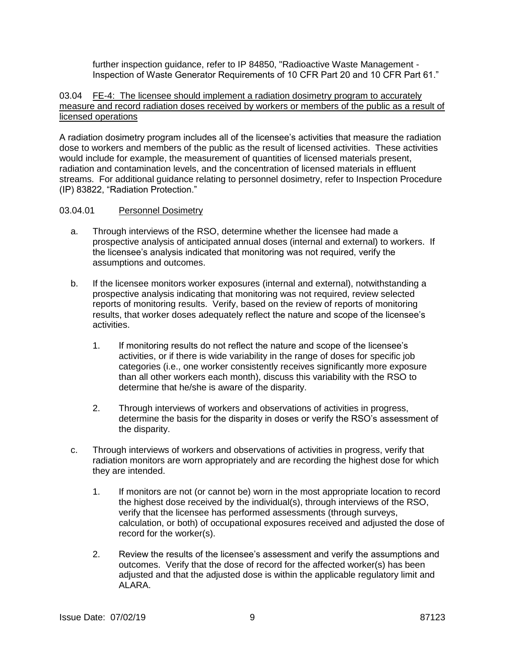further inspection guidance, refer to IP 84850, "Radioactive Waste Management - Inspection of Waste Generator Requirements of 10 CFR Part 20 and 10 CFR Part 61."

### 03.04 FE-4: The licensee should implement a radiation dosimetry program to accurately measure and record radiation doses received by workers or members of the public as a result of licensed operations

A radiation dosimetry program includes all of the licensee's activities that measure the radiation dose to workers and members of the public as the result of licensed activities. These activities would include for example, the measurement of quantities of licensed materials present, radiation and contamination levels, and the concentration of licensed materials in effluent streams. For additional guidance relating to personnel dosimetry, refer to Inspection Procedure (IP) 83822, "Radiation Protection."

### 03.04.01 Personnel Dosimetry

- a. Through interviews of the RSO, determine whether the licensee had made a prospective analysis of anticipated annual doses (internal and external) to workers. If the licensee's analysis indicated that monitoring was not required, verify the assumptions and outcomes.
- b. If the licensee monitors worker exposures (internal and external), notwithstanding a prospective analysis indicating that monitoring was not required, review selected reports of monitoring results. Verify, based on the review of reports of monitoring results, that worker doses adequately reflect the nature and scope of the licensee's activities.
	- 1. If monitoring results do not reflect the nature and scope of the licensee's activities, or if there is wide variability in the range of doses for specific job categories (i.e., one worker consistently receives significantly more exposure than all other workers each month), discuss this variability with the RSO to determine that he/she is aware of the disparity.
	- 2. Through interviews of workers and observations of activities in progress, determine the basis for the disparity in doses or verify the RSO's assessment of the disparity.
- c. Through interviews of workers and observations of activities in progress, verify that radiation monitors are worn appropriately and are recording the highest dose for which they are intended.
	- 1. If monitors are not (or cannot be) worn in the most appropriate location to record the highest dose received by the individual(s), through interviews of the RSO, verify that the licensee has performed assessments (through surveys, calculation, or both) of occupational exposures received and adjusted the dose of record for the worker(s).
	- 2. Review the results of the licensee's assessment and verify the assumptions and outcomes. Verify that the dose of record for the affected worker(s) has been adjusted and that the adjusted dose is within the applicable regulatory limit and ALARA.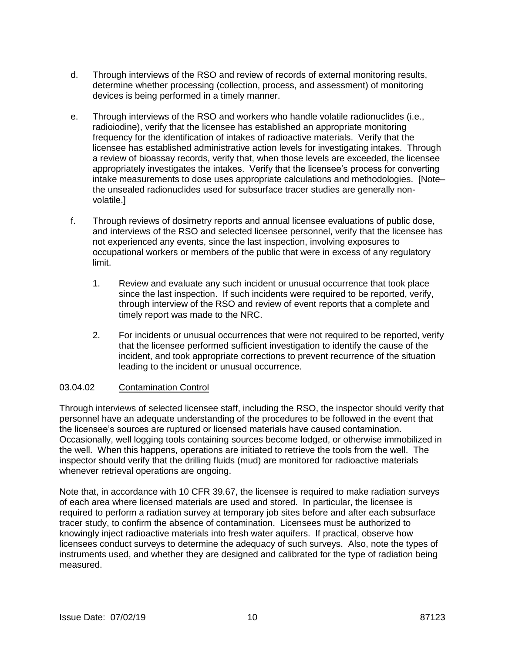- d. Through interviews of the RSO and review of records of external monitoring results, determine whether processing (collection, process, and assessment) of monitoring devices is being performed in a timely manner.
- e. Through interviews of the RSO and workers who handle volatile radionuclides (i.e., radioiodine), verify that the licensee has established an appropriate monitoring frequency for the identification of intakes of radioactive materials. Verify that the licensee has established administrative action levels for investigating intakes. Through a review of bioassay records, verify that, when those levels are exceeded, the licensee appropriately investigates the intakes. Verify that the licensee's process for converting intake measurements to dose uses appropriate calculations and methodologies. [Note– the unsealed radionuclides used for subsurface tracer studies are generally nonvolatile.]
- f. Through reviews of dosimetry reports and annual licensee evaluations of public dose, and interviews of the RSO and selected licensee personnel, verify that the licensee has not experienced any events, since the last inspection, involving exposures to occupational workers or members of the public that were in excess of any regulatory limit.
	- 1. Review and evaluate any such incident or unusual occurrence that took place since the last inspection. If such incidents were required to be reported, verify, through interview of the RSO and review of event reports that a complete and timely report was made to the NRC.
	- 2. For incidents or unusual occurrences that were not required to be reported, verify that the licensee performed sufficient investigation to identify the cause of the incident, and took appropriate corrections to prevent recurrence of the situation leading to the incident or unusual occurrence.

## 03.04.02 Contamination Control

Through interviews of selected licensee staff, including the RSO, the inspector should verify that personnel have an adequate understanding of the procedures to be followed in the event that the licensee's sources are ruptured or licensed materials have caused contamination. Occasionally, well logging tools containing sources become lodged, or otherwise immobilized in the well. When this happens, operations are initiated to retrieve the tools from the well. The inspector should verify that the drilling fluids (mud) are monitored for radioactive materials whenever retrieval operations are ongoing.

Note that, in accordance with 10 CFR 39.67, the licensee is required to make radiation surveys of each area where licensed materials are used and stored. In particular, the licensee is required to perform a radiation survey at temporary job sites before and after each subsurface tracer study, to confirm the absence of contamination. Licensees must be authorized to knowingly inject radioactive materials into fresh water aquifers. If practical, observe how licensees conduct surveys to determine the adequacy of such surveys. Also, note the types of instruments used, and whether they are designed and calibrated for the type of radiation being measured.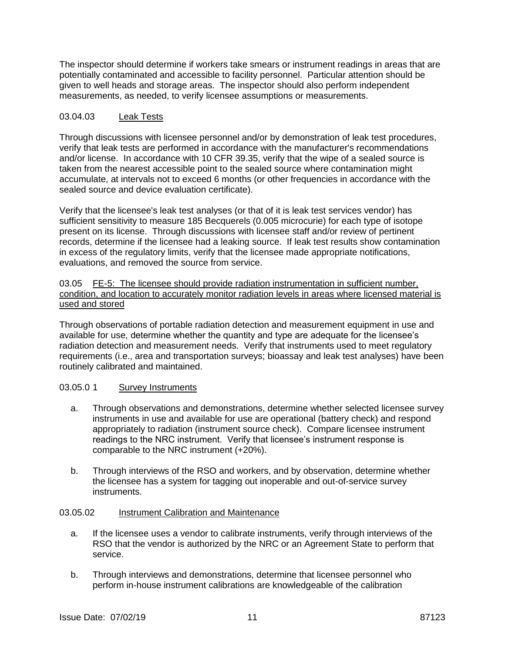The inspector should determine if workers take smears or instrument readings in areas that are potentially contaminated and accessible to facility personnel. Particular attention should be given to well heads and storage areas. The inspector should also perform independent measurements, as needed, to verify licensee assumptions or measurements.

### 03.04.03 Leak Tests

Through discussions with licensee personnel and/or by demonstration of leak test procedures, verify that leak tests are performed in accordance with the manufacturer's recommendations and/or license. In accordance with 10 CFR 39.35, verify that the wipe of a sealed source is taken from the nearest accessible point to the sealed source where contamination might accumulate, at intervals not to exceed 6 months (or other frequencies in accordance with the sealed source and device evaluation certificate).

Verify that the licensee's leak test analyses (or that of it is leak test services vendor) has sufficient sensitivity to measure 185 Becquerels (0.005 microcurie) for each type of isotope present on its license. Through discussions with licensee staff and/or review of pertinent records, determine if the licensee had a leaking source. If leak test results show contamination in excess of the regulatory limits, verify that the licensee made appropriate notifications, evaluations, and removed the source from service.

03.05 FE-5: The licensee should provide radiation instrumentation in sufficient number, condition, and location to accurately monitor radiation levels in areas where licensed material is used and stored

Through observations of portable radiation detection and measurement equipment in use and available for use, determine whether the quantity and type are adequate for the licensee's radiation detection and measurement needs. Verify that instruments used to meet regulatory requirements (i.e., area and transportation surveys; bioassay and leak test analyses) have been routinely calibrated and maintained.

## 03.05.0 1 Survey Instruments

- a. Through observations and demonstrations, determine whether selected licensee survey instruments in use and available for use are operational (battery check) and respond appropriately to radiation (instrument source check). Compare licensee instrument readings to the NRC instrument. Verify that licensee's instrument response is comparable to the NRC instrument (+20%).
- b. Through interviews of the RSO and workers, and by observation, determine whether the licensee has a system for tagging out inoperable and out-of-service survey instruments.

#### 03.05.02 Instrument Calibration and Maintenance

- a. If the licensee uses a vendor to calibrate instruments, verify through interviews of the RSO that the vendor is authorized by the NRC or an Agreement State to perform that service.
- b. Through interviews and demonstrations, determine that licensee personnel who perform in-house instrument calibrations are knowledgeable of the calibration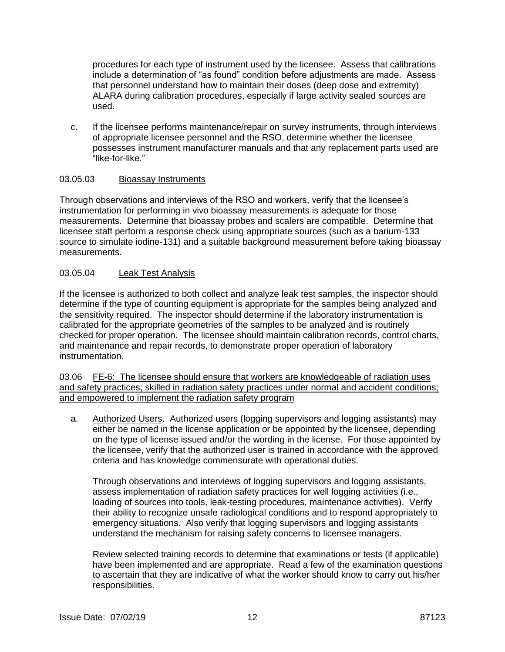procedures for each type of instrument used by the licensee. Assess that calibrations include a determination of "as found" condition before adjustments are made. Assess that personnel understand how to maintain their doses (deep dose and extremity) ALARA during calibration procedures, especially if large activity sealed sources are used.

c. If the licensee performs maintenance/repair on survey instruments, through interviews of appropriate licensee personnel and the RSO, determine whether the licensee possesses instrument manufacturer manuals and that any replacement parts used are "like-for-like."

### 03.05.03 Bioassay Instruments

Through observations and interviews of the RSO and workers, verify that the licensee's instrumentation for performing in vivo bioassay measurements is adequate for those measurements. Determine that bioassay probes and scalers are compatible. Determine that licensee staff perform a response check using appropriate sources (such as a barium-133 source to simulate iodine-131) and a suitable background measurement before taking bioassay measurements.

### 03.05.04 Leak Test Analysis

If the licensee is authorized to both collect and analyze leak test samples, the inspector should determine if the type of counting equipment is appropriate for the samples being analyzed and the sensitivity required. The inspector should determine if the laboratory instrumentation is calibrated for the appropriate geometries of the samples to be analyzed and is routinely checked for proper operation. The licensee should maintain calibration records, control charts, and maintenance and repair records, to demonstrate proper operation of laboratory instrumentation.

03.06 FE-6: The licensee should ensure that workers are knowledgeable of radiation uses and safety practices; skilled in radiation safety practices under normal and accident conditions; and empowered to implement the radiation safety program

a. Authorized Users. Authorized users (logging supervisors and logging assistants) may either be named in the license application or be appointed by the licensee, depending on the type of license issued and/or the wording in the license. For those appointed by the licensee, verify that the authorized user is trained in accordance with the approved criteria and has knowledge commensurate with operational duties.

Through observations and interviews of logging supervisors and logging assistants, assess implementation of radiation safety practices for well logging activities (i.e., loading of sources into tools, leak-testing procedures, maintenance activities). Verify their ability to recognize unsafe radiological conditions and to respond appropriately to emergency situations. Also verify that logging supervisors and logging assistants understand the mechanism for raising safety concerns to licensee managers.

Review selected training records to determine that examinations or tests (if applicable) have been implemented and are appropriate. Read a few of the examination questions to ascertain that they are indicative of what the worker should know to carry out his/her responsibilities.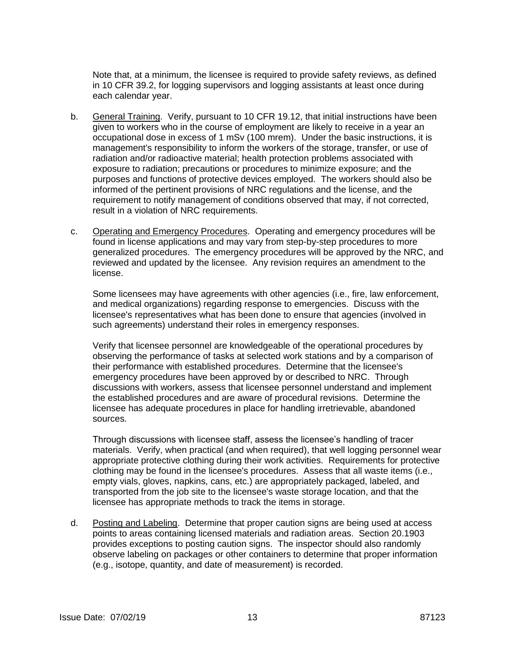Note that, at a minimum, the licensee is required to provide safety reviews, as defined in 10 CFR 39.2, for logging supervisors and logging assistants at least once during each calendar year.

- b. General Training. Verify, pursuant to 10 CFR 19.12, that initial instructions have been given to workers who in the course of employment are likely to receive in a year an occupational dose in excess of 1 mSv (100 mrem). Under the basic instructions, it is management's responsibility to inform the workers of the storage, transfer, or use of radiation and/or radioactive material; health protection problems associated with exposure to radiation; precautions or procedures to minimize exposure; and the purposes and functions of protective devices employed. The workers should also be informed of the pertinent provisions of NRC regulations and the license, and the requirement to notify management of conditions observed that may, if not corrected, result in a violation of NRC requirements.
- c. Operating and Emergency Procedures. Operating and emergency procedures will be found in license applications and may vary from step-by-step procedures to more generalized procedures. The emergency procedures will be approved by the NRC, and reviewed and updated by the licensee. Any revision requires an amendment to the license.

Some licensees may have agreements with other agencies (i.e., fire, law enforcement, and medical organizations) regarding response to emergencies. Discuss with the licensee's representatives what has been done to ensure that agencies (involved in such agreements) understand their roles in emergency responses.

Verify that licensee personnel are knowledgeable of the operational procedures by observing the performance of tasks at selected work stations and by a comparison of their performance with established procedures. Determine that the licensee's emergency procedures have been approved by or described to NRC. Through discussions with workers, assess that licensee personnel understand and implement the established procedures and are aware of procedural revisions. Determine the licensee has adequate procedures in place for handling irretrievable, abandoned sources.

Through discussions with licensee staff, assess the licensee's handling of tracer materials. Verify, when practical (and when required), that well logging personnel wear appropriate protective clothing during their work activities. Requirements for protective clothing may be found in the licensee's procedures. Assess that all waste items (i.e., empty vials, gloves, napkins, cans, etc.) are appropriately packaged, labeled, and transported from the job site to the licensee's waste storage location, and that the licensee has appropriate methods to track the items in storage.

d. Posting and Labeling. Determine that proper caution signs are being used at access points to areas containing licensed materials and radiation areas. Section 20.1903 provides exceptions to posting caution signs. The inspector should also randomly observe labeling on packages or other containers to determine that proper information (e.g., isotope, quantity, and date of measurement) is recorded.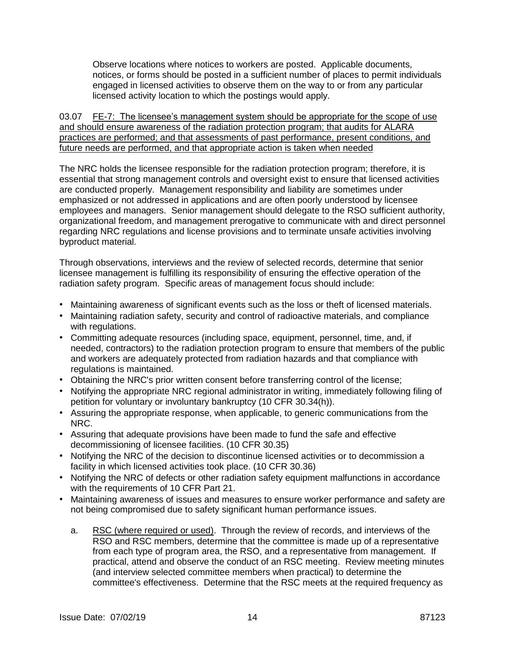Observe locations where notices to workers are posted. Applicable documents, notices, or forms should be posted in a sufficient number of places to permit individuals engaged in licensed activities to observe them on the way to or from any particular licensed activity location to which the postings would apply.

03.07 FE-7: The licensee's management system should be appropriate for the scope of use and should ensure awareness of the radiation protection program; that audits for ALARA practices are performed; and that assessments of past performance, present conditions, and future needs are performed, and that appropriate action is taken when needed

The NRC holds the licensee responsible for the radiation protection program; therefore, it is essential that strong management controls and oversight exist to ensure that licensed activities are conducted properly. Management responsibility and liability are sometimes under emphasized or not addressed in applications and are often poorly understood by licensee employees and managers. Senior management should delegate to the RSO sufficient authority, organizational freedom, and management prerogative to communicate with and direct personnel regarding NRC regulations and license provisions and to terminate unsafe activities involving byproduct material.

Through observations, interviews and the review of selected records, determine that senior licensee management is fulfilling its responsibility of ensuring the effective operation of the radiation safety program. Specific areas of management focus should include:

- Maintaining awareness of significant events such as the loss or theft of licensed materials.
- Maintaining radiation safety, security and control of radioactive materials, and compliance with regulations.
- Committing adequate resources (including space, equipment, personnel, time, and, if needed, contractors) to the radiation protection program to ensure that members of the public and workers are adequately protected from radiation hazards and that compliance with regulations is maintained.
- Obtaining the NRC's prior written consent before transferring control of the license;
- Notifying the appropriate NRC regional administrator in writing, immediately following filing of petition for voluntary or involuntary bankruptcy (10 CFR 30.34(h)).
- Assuring the appropriate response, when applicable, to generic communications from the NRC.
- Assuring that adequate provisions have been made to fund the safe and effective decommissioning of licensee facilities. (10 CFR 30.35)
- Notifying the NRC of the decision to discontinue licensed activities or to decommission a facility in which licensed activities took place. (10 CFR 30.36)
- Notifying the NRC of defects or other radiation safety equipment malfunctions in accordance with the requirements of 10 CFR Part 21.
- Maintaining awareness of issues and measures to ensure worker performance and safety are not being compromised due to safety significant human performance issues.
	- a. RSC (where required or used). Through the review of records, and interviews of the RSO and RSC members, determine that the committee is made up of a representative from each type of program area, the RSO, and a representative from management. If practical, attend and observe the conduct of an RSC meeting. Review meeting minutes (and interview selected committee members when practical) to determine the committee's effectiveness. Determine that the RSC meets at the required frequency as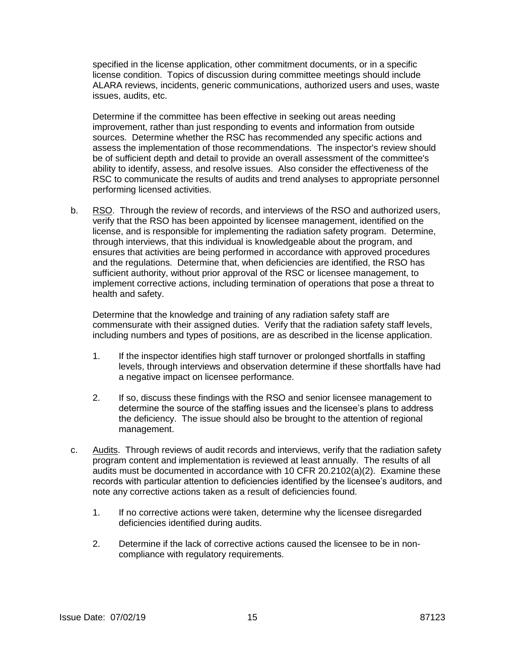specified in the license application, other commitment documents, or in a specific license condition. Topics of discussion during committee meetings should include ALARA reviews, incidents, generic communications, authorized users and uses, waste issues, audits, etc.

Determine if the committee has been effective in seeking out areas needing improvement, rather than just responding to events and information from outside sources. Determine whether the RSC has recommended any specific actions and assess the implementation of those recommendations. The inspector's review should be of sufficient depth and detail to provide an overall assessment of the committee's ability to identify, assess, and resolve issues. Also consider the effectiveness of the RSC to communicate the results of audits and trend analyses to appropriate personnel performing licensed activities.

b. RSO. Through the review of records, and interviews of the RSO and authorized users, verify that the RSO has been appointed by licensee management, identified on the license, and is responsible for implementing the radiation safety program. Determine, through interviews, that this individual is knowledgeable about the program, and ensures that activities are being performed in accordance with approved procedures and the regulations. Determine that, when deficiencies are identified, the RSO has sufficient authority, without prior approval of the RSC or licensee management, to implement corrective actions, including termination of operations that pose a threat to health and safety.

Determine that the knowledge and training of any radiation safety staff are commensurate with their assigned duties. Verify that the radiation safety staff levels, including numbers and types of positions, are as described in the license application.

- 1. If the inspector identifies high staff turnover or prolonged shortfalls in staffing levels, through interviews and observation determine if these shortfalls have had a negative impact on licensee performance.
- 2. If so, discuss these findings with the RSO and senior licensee management to determine the source of the staffing issues and the licensee's plans to address the deficiency. The issue should also be brought to the attention of regional management.
- c. Audits. Through reviews of audit records and interviews, verify that the radiation safety program content and implementation is reviewed at least annually. The results of all audits must be documented in accordance with 10 CFR 20.2102(a)(2). Examine these records with particular attention to deficiencies identified by the licensee's auditors, and note any corrective actions taken as a result of deficiencies found.
	- 1. If no corrective actions were taken, determine why the licensee disregarded deficiencies identified during audits.
	- 2. Determine if the lack of corrective actions caused the licensee to be in noncompliance with regulatory requirements.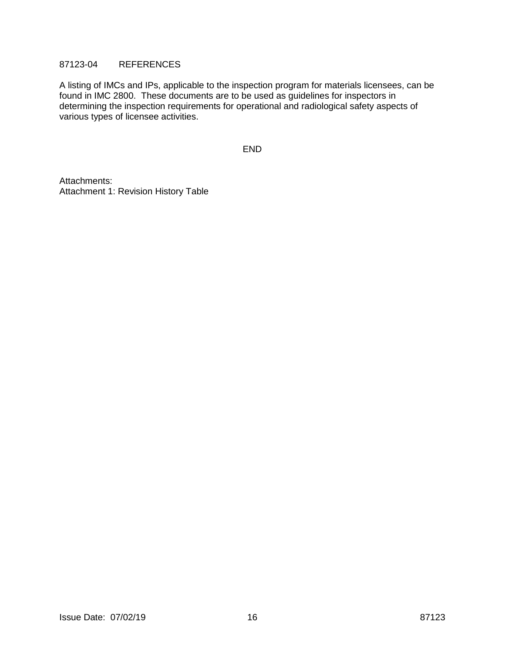### 87123-04 REFERENCES

A listing of IMCs and IPs, applicable to the inspection program for materials licensees, can be found in IMC 2800. These documents are to be used as guidelines for inspectors in determining the inspection requirements for operational and radiological safety aspects of various types of licensee activities.

END

Attachments: Attachment 1: Revision History Table